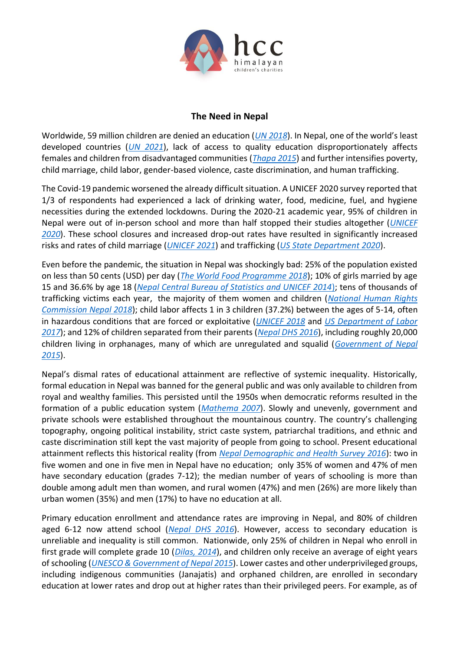

## **The Need in Nepal**

Worldwide, 59 million children are denied an education (*[UN 2018](https://unesdoc.unesco.org/ark:/48223/pf0000261593)*). In Nepal, one of the world's least developed countries (*[UN 2021](https://www.un.org/development/desa/dpad/wp-content/uploads/sites/45/publication/ldc_list.pdf)*), lack of access to quality education disproportionately affects females and children from disadvantaged communities (*[Thapa 2015](https://www.nepjol.info/index.php/EJDI/article/view/11873)*) and further intensifies poverty, child marriage, child labor, gender-based violence, caste discrimination, and human trafficking.

The Covid-19 pandemic worsened the already difficult situation. A UNICEF 2020 survey reported that 1/3 of respondents had experienced a lack of drinking water, food, medicine, fuel, and hygiene necessities during the extended lockdowns. During the 2020-21 academic year, 95% of children in Nepal were out of in-person school and more than half stopped their studies altogether (*[UNICEF](https://www.unicef.org/nepal/sites/unicef.org.nepal/files/2020-08/UNICEF%20Child%20and%20Family%20Tracker%20Survey.pdf)  [2020](https://www.unicef.org/nepal/sites/unicef.org.nepal/files/2020-08/UNICEF%20Child%20and%20Family%20Tracker%20Survey.pdf)*). These school closures and increased drop-out rates have resulted in significantly increased risks and rates of child marriage (*[UNICEF 2021](https://data.unicef.org/resources/covid-19-a-threat-to-progress-against-child-marriage/)*) and trafficking (*[US State Department 2020](https://www.state.gov/reports/2020-trafficking-in-persons-report/nepal/)*).

Even before the pandemic, the situation in Nepal was shockingly bad: 25% of the population existed on less than 50 cents (USD) per day (*[The World Food Programme 2018](https://www.wfp.org/countries/nepal)*); 10% of girls married by age 15 and 36.6% by age 18 (*[Nepal Central Bureau of Statistics and UNICEF 2014](https://www.unicef.org/nepal/media/486/file/MICS%202014.pdf)*); tens of thousands of trafficking victims each year, the majority of them women and children (*[National Human Rights](https://www.nhrcnepal.org/)  [Commission Nepal 2018](https://www.nhrcnepal.org/)*); child labor affects 1 in 3 children (37.2%) between the ages of 5-14, often in hazardous conditions that are forced or exploitative (*[UNICEF 2018](https://www.unicef.org/nepal/media/1491/file/We%20must%20do%20better.pdf)* and *[US Department of Labor](https://www.dol.gov/agencies/ilab/resources/reports/child-labor/nepal)  [2017](https://www.dol.gov/agencies/ilab/resources/reports/child-labor/nepal)*); and 12% of children separated from their parents (*[Nepal DHS 2016](https://dhsprogram.com/pubs/pdf/FR336/FR336.pdf)*), including roughly 20,000 children living in orphanages, many of which are unregulated and squalid (*[Government of Nepal](http://www.ccwb.gov.np/uploads/Resource/CCWB%20Publication/state%20of%20the%20child%20care%20home.pdf)  [2015](http://www.ccwb.gov.np/uploads/Resource/CCWB%20Publication/state%20of%20the%20child%20care%20home.pdf)*).

Nepal's dismal rates of educational attainment are reflective of systemic inequality. Historically, formal education in Nepal was banned for the general public and was only available to children from royal and wealthy families. This persisted until the 1950s when democratic reforms resulted in the formation of a public education system (*[Mathema 2007](https://www.academia.edu/35966628/Crisis_in_Education_and_Future_Challenges_for_Nepal_Kedar_Bhakta_Mathema?email_work_card=thumbnail)*). Slowly and unevenly, government and private schools were established throughout the mountainous country. The country's challenging topography, ongoing political instability, strict caste system, patriarchal traditions, and ethnic and caste discrimination still kept the vast majority of people from going to school. Present educational attainment reflects this historical reality (from *Nepal [Demographic and Health Survey 2016](https://dhsprogram.com/pubs/pdf/FR336/FR336.pdf)*): two in five women and one in five men in Nepal have no education; only 35% of women and 47% of men have secondary education (grades 7-12); the median number of years of schooling is more than double among adult men than women, and rural women (47%) and men (26%) are more likely than urban women (35%) and men (17%) to have no education at all.

Primary education enrollment and attendance rates are improving in Nepal, and 80% of children aged 6-12 now attend school (*[Nepal DHS 2016](https://dhsprogram.com/pubs/pdf/FR336/FR336.pdf)*). However, access to secondary education is unreliable and inequality is still common. Nationwide, only 25% of children in Nepal who enroll in first grade will complete grade 10 (*[Dilas, 2014](https://wenr.wes.org/2018/04/education-in-nepal)*), and children only receive an average of eight years of schooling (*[UNESCO & Government of Nepal 2015](https://unesdoc.unesco.org/ark:/48223/pf0000232769)*). Lower castes and other underprivileged groups, including indigenous communities (Janajatis) and orphaned children, are enrolled in secondary education at lower rates and drop out at higher rates than their privileged peers. For example, as of